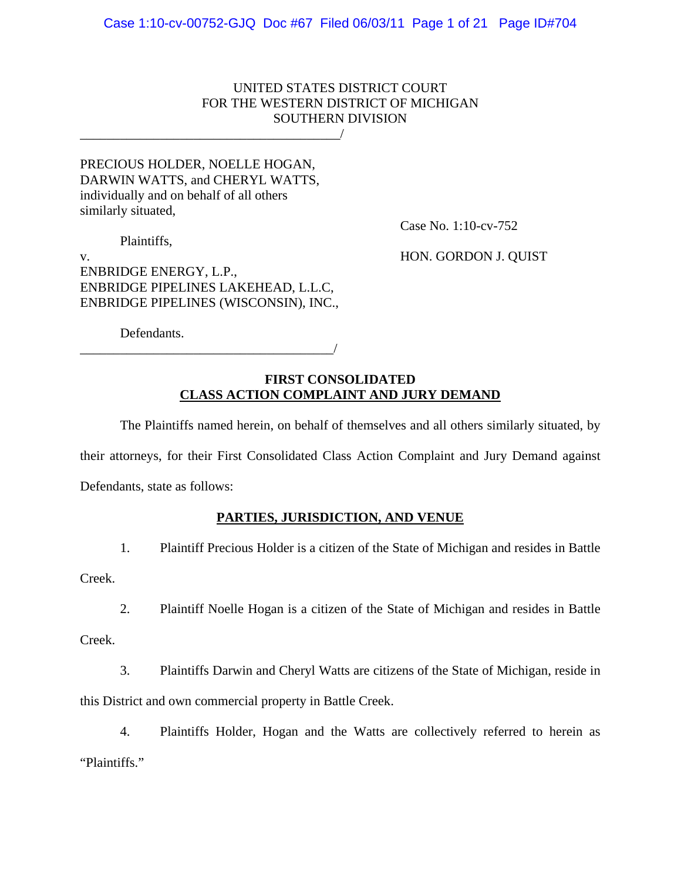## UNITED STATES DISTRICT COURT FOR THE WESTERN DISTRICT OF MICHIGAN SOUTHERN DIVISION

PRECIOUS HOLDER, NOELLE HOGAN, DARWIN WATTS, and CHERYL WATTS, individually and on behalf of all others similarly situated,

\_\_\_\_\_\_\_\_\_\_\_\_\_\_\_\_\_\_\_\_\_\_\_\_\_\_\_\_\_\_\_\_\_\_\_\_\_\_\_/

Plaintiffs,

Case No. 1:10-cv-752

v. HON. GORDON J. QUIST ENBRIDGE ENERGY, L.P., ENBRIDGE PIPELINES LAKEHEAD, L.L.C, ENBRIDGE PIPELINES (WISCONSIN), INC.,

Defendants.

\_\_\_\_\_\_\_\_\_\_\_\_\_\_\_\_\_\_\_\_\_\_\_\_\_\_\_\_\_\_\_\_\_\_\_\_\_\_/

## **FIRST CONSOLIDATED CLASS ACTION COMPLAINT AND JURY DEMAND**

 The Plaintiffs named herein, on behalf of themselves and all others similarly situated, by their attorneys, for their First Consolidated Class Action Complaint and Jury Demand against Defendants, state as follows:

# **PARTIES, JURISDICTION, AND VENUE**

1. Plaintiff Precious Holder is a citizen of the State of Michigan and resides in Battle

Creek.

2. Plaintiff Noelle Hogan is a citizen of the State of Michigan and resides in Battle

Creek.

3. Plaintiffs Darwin and Cheryl Watts are citizens of the State of Michigan, reside in this District and own commercial property in Battle Creek.

4. Plaintiffs Holder, Hogan and the Watts are collectively referred to herein as "Plaintiffs."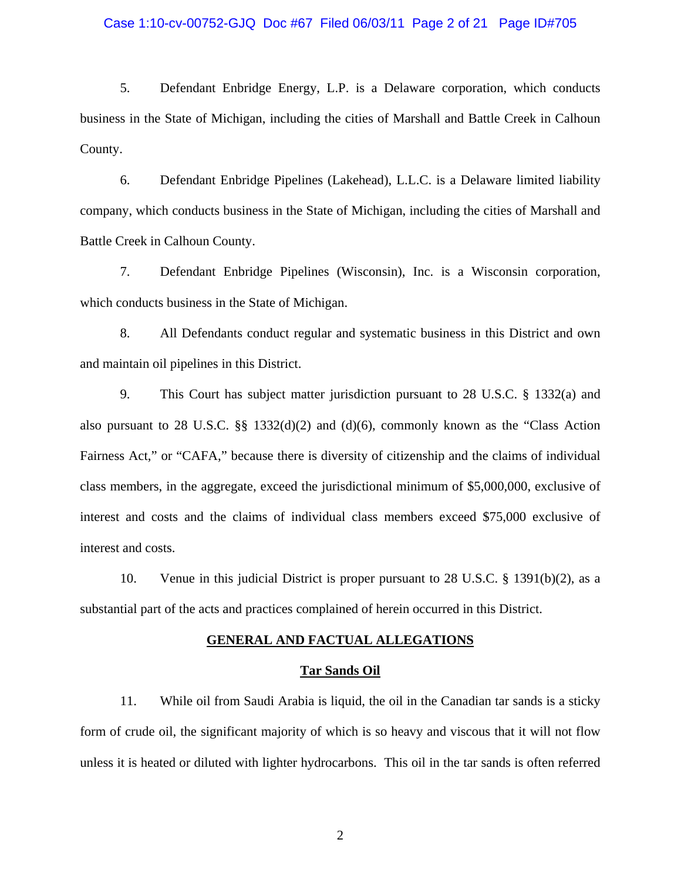#### Case 1:10-cv-00752-GJQ Doc #67 Filed 06/03/11 Page 2 of 21 Page ID#705

5. Defendant Enbridge Energy, L.P. is a Delaware corporation, which conducts business in the State of Michigan, including the cities of Marshall and Battle Creek in Calhoun County.

6. Defendant Enbridge Pipelines (Lakehead), L.L.C. is a Delaware limited liability company, which conducts business in the State of Michigan, including the cities of Marshall and Battle Creek in Calhoun County.

7. Defendant Enbridge Pipelines (Wisconsin), Inc. is a Wisconsin corporation, which conducts business in the State of Michigan.

8. All Defendants conduct regular and systematic business in this District and own and maintain oil pipelines in this District.

9. This Court has subject matter jurisdiction pursuant to 28 U.S.C. § 1332(a) and also pursuant to 28 U.S.C.  $\S$  1332(d)(2) and (d)(6), commonly known as the "Class Action Fairness Act," or "CAFA," because there is diversity of citizenship and the claims of individual class members, in the aggregate, exceed the jurisdictional minimum of \$5,000,000, exclusive of interest and costs and the claims of individual class members exceed \$75,000 exclusive of interest and costs.

10. Venue in this judicial District is proper pursuant to 28 U.S.C. § 1391(b)(2), as a substantial part of the acts and practices complained of herein occurred in this District.

#### **GENERAL AND FACTUAL ALLEGATIONS**

#### **Tar Sands Oil**

11. While oil from Saudi Arabia is liquid, the oil in the Canadian tar sands is a sticky form of crude oil, the significant majority of which is so heavy and viscous that it will not flow unless it is heated or diluted with lighter hydrocarbons. This oil in the tar sands is often referred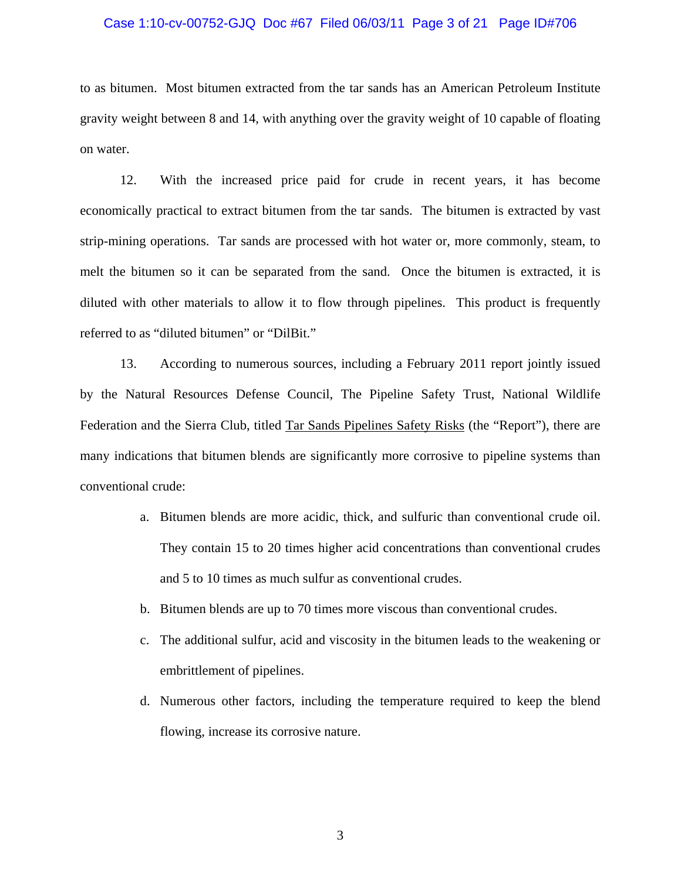#### Case 1:10-cv-00752-GJQ Doc #67 Filed 06/03/11 Page 3 of 21 Page ID#706

to as bitumen. Most bitumen extracted from the tar sands has an American Petroleum Institute gravity weight between 8 and 14, with anything over the gravity weight of 10 capable of floating on water.

12. With the increased price paid for crude in recent years, it has become economically practical to extract bitumen from the tar sands. The bitumen is extracted by vast strip-mining operations. Tar sands are processed with hot water or, more commonly, steam, to melt the bitumen so it can be separated from the sand. Once the bitumen is extracted, it is diluted with other materials to allow it to flow through pipelines. This product is frequently referred to as "diluted bitumen" or "DilBit."

13. According to numerous sources, including a February 2011 report jointly issued by the Natural Resources Defense Council, The Pipeline Safety Trust, National Wildlife Federation and the Sierra Club, titled Tar Sands Pipelines Safety Risks (the "Report"), there are many indications that bitumen blends are significantly more corrosive to pipeline systems than conventional crude:

- a. Bitumen blends are more acidic, thick, and sulfuric than conventional crude oil. They contain 15 to 20 times higher acid concentrations than conventional crudes and 5 to 10 times as much sulfur as conventional crudes.
- b. Bitumen blends are up to 70 times more viscous than conventional crudes.
- c. The additional sulfur, acid and viscosity in the bitumen leads to the weakening or embrittlement of pipelines.
- d. Numerous other factors, including the temperature required to keep the blend flowing, increase its corrosive nature.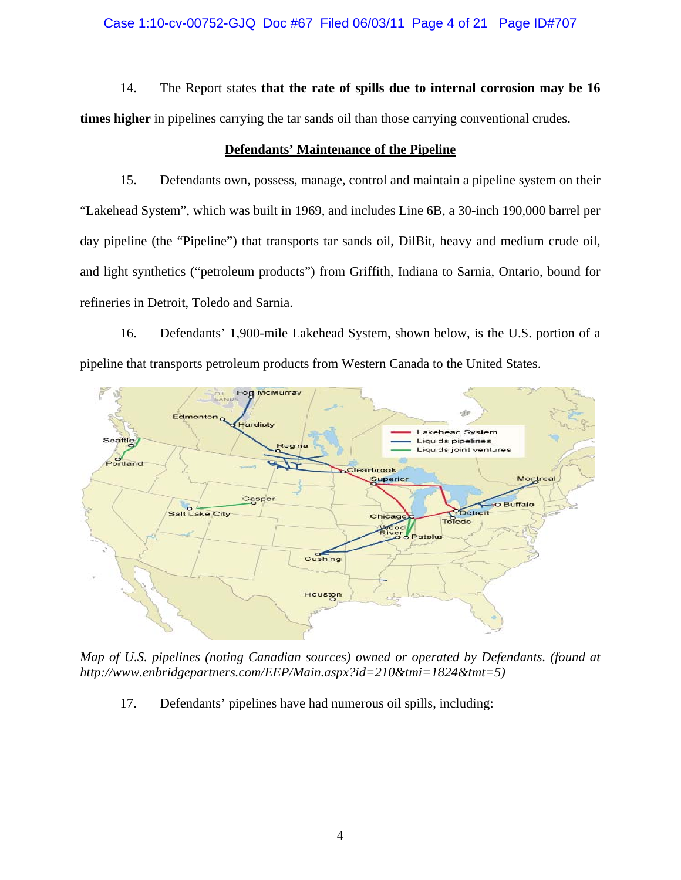### Case 1:10-cv-00752-GJQ Doc #67 Filed 06/03/11 Page 4 of 21 Page ID#707

14. The Report states **that the rate of spills due to internal corrosion may be 16 times higher** in pipelines carrying the tar sands oil than those carrying conventional crudes.

### **Defendants' Maintenance of the Pipeline**

15. Defendants own, possess, manage, control and maintain a pipeline system on their "Lakehead System", which was built in 1969, and includes Line 6B, a 30-inch 190,000 barrel per day pipeline (the "Pipeline") that transports tar sands oil, DilBit, heavy and medium crude oil, and light synthetics ("petroleum products") from Griffith, Indiana to Sarnia, Ontario, bound for refineries in Detroit, Toledo and Sarnia.

16. Defendants' 1,900-mile Lakehead System, shown below, is the U.S. portion of a pipeline that transports petroleum products from Western Canada to the United States.



*Map of U.S. pipelines (noting Canadian sources) owned or operated by Defendants. (found at http://www.enbridgepartners.com/EEP/Main.aspx?id=210&tmi=1824&tmt=5)* 

17. Defendants' pipelines have had numerous oil spills, including: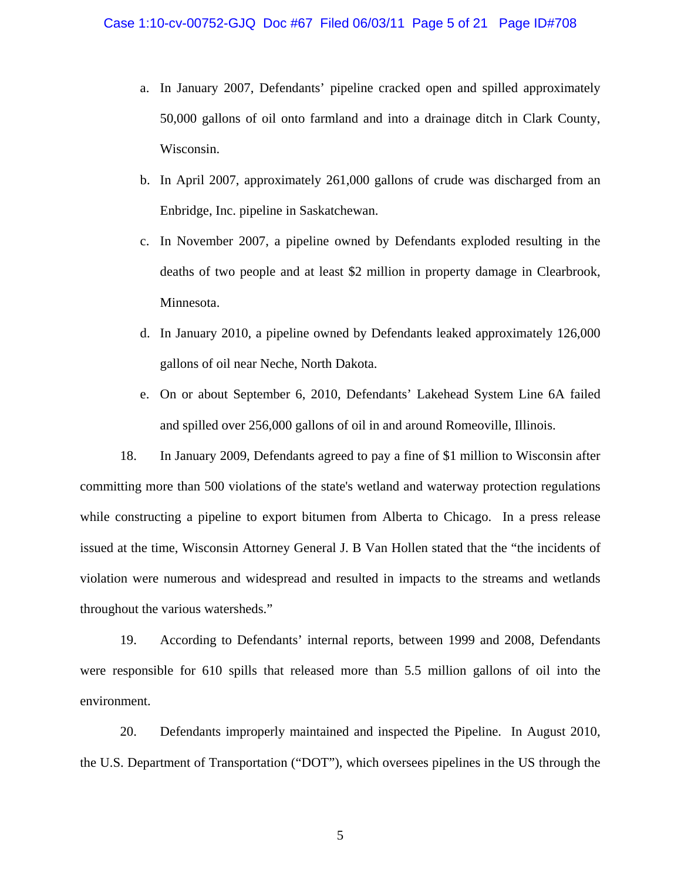- a. In January 2007, Defendants' pipeline cracked open and spilled approximately 50,000 gallons of oil onto farmland and into a drainage ditch in Clark County, Wisconsin.
- b. In April 2007, approximately 261,000 gallons of crude was discharged from an Enbridge, Inc. pipeline in Saskatchewan.
- c. In November 2007, a pipeline owned by Defendants exploded resulting in the deaths of two people and at least \$2 million in property damage in Clearbrook, Minnesota.
- d. In January 2010, a pipeline owned by Defendants leaked approximately 126,000 gallons of oil near Neche, North Dakota.
- e. On or about September 6, 2010, Defendants' Lakehead System Line 6A failed and spilled over 256,000 gallons of oil in and around Romeoville, Illinois.

18. In January 2009, Defendants agreed to pay a fine of \$1 million to Wisconsin after committing more than 500 violations of the state's wetland and waterway protection regulations while constructing a pipeline to export bitumen from Alberta to Chicago. In a press release issued at the time, Wisconsin Attorney General J. B Van Hollen stated that the "the incidents of violation were numerous and widespread and resulted in impacts to the streams and wetlands throughout the various watersheds."

19. According to Defendants' internal reports, between 1999 and 2008, Defendants were responsible for 610 spills that released more than 5.5 million gallons of oil into the environment.

20. Defendants improperly maintained and inspected the Pipeline. In August 2010, the U.S. Department of Transportation ("DOT"), which oversees pipelines in the US through the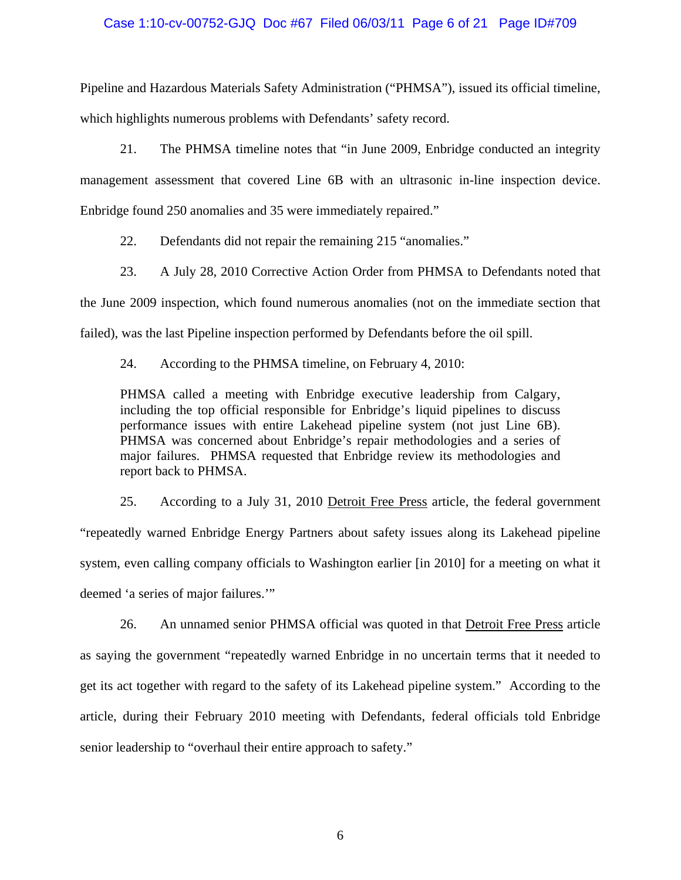### Case 1:10-cv-00752-GJQ Doc #67 Filed 06/03/11 Page 6 of 21 Page ID#709

Pipeline and Hazardous Materials Safety Administration ("PHMSA"), issued its official timeline, which highlights numerous problems with Defendants' safety record.

21. The PHMSA timeline notes that "in June 2009, Enbridge conducted an integrity management assessment that covered Line 6B with an ultrasonic in-line inspection device. Enbridge found 250 anomalies and 35 were immediately repaired."

22. Defendants did not repair the remaining 215 "anomalies."

23. A July 28, 2010 Corrective Action Order from PHMSA to Defendants noted that the June 2009 inspection, which found numerous anomalies (not on the immediate section that failed), was the last Pipeline inspection performed by Defendants before the oil spill.

24. According to the PHMSA timeline, on February 4, 2010:

PHMSA called a meeting with Enbridge executive leadership from Calgary, including the top official responsible for Enbridge's liquid pipelines to discuss performance issues with entire Lakehead pipeline system (not just Line 6B). PHMSA was concerned about Enbridge's repair methodologies and a series of major failures. PHMSA requested that Enbridge review its methodologies and report back to PHMSA.

25. According to a July 31, 2010 Detroit Free Press article, the federal government "repeatedly warned Enbridge Energy Partners about safety issues along its Lakehead pipeline system, even calling company officials to Washington earlier [in 2010] for a meeting on what it deemed 'a series of major failures.'"

26. An unnamed senior PHMSA official was quoted in that Detroit Free Press article as saying the government "repeatedly warned Enbridge in no uncertain terms that it needed to get its act together with regard to the safety of its Lakehead pipeline system." According to the article, during their February 2010 meeting with Defendants, federal officials told Enbridge senior leadership to "overhaul their entire approach to safety."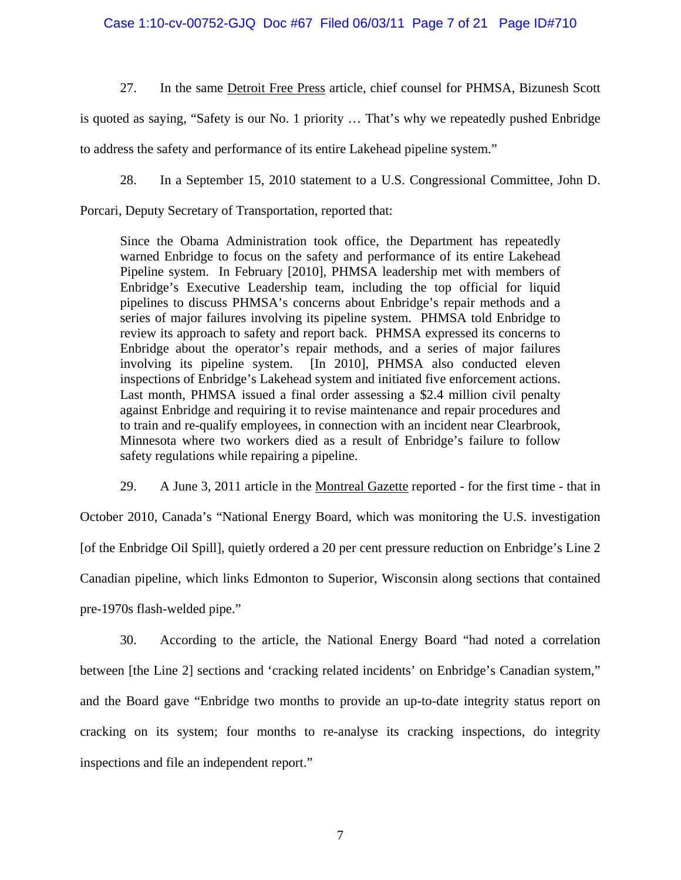Case 1:10-cv-00752-GJQ Doc #67 Filed 06/03/11 Page 7 of 21 Page ID#710

27. In the same Detroit Free Press article, chief counsel for PHMSA, Bizunesh Scott

is quoted as saying, "Safety is our No. 1 priority … That's why we repeatedly pushed Enbridge to address the safety and performance of its entire Lakehead pipeline system."

28. In a September 15, 2010 statement to a U.S. Congressional Committee, John D.

Porcari, Deputy Secretary of Transportation, reported that:

Since the Obama Administration took office, the Department has repeatedly warned Enbridge to focus on the safety and performance of its entire Lakehead Pipeline system. In February [2010], PHMSA leadership met with members of Enbridge's Executive Leadership team, including the top official for liquid pipelines to discuss PHMSA's concerns about Enbridge's repair methods and a series of major failures involving its pipeline system. PHMSA told Enbridge to review its approach to safety and report back. PHMSA expressed its concerns to Enbridge about the operator's repair methods, and a series of major failures involving its pipeline system. [In 2010], PHMSA also conducted eleven inspections of Enbridge's Lakehead system and initiated five enforcement actions. Last month, PHMSA issued a final order assessing a \$2.4 million civil penalty against Enbridge and requiring it to revise maintenance and repair procedures and to train and re-qualify employees, in connection with an incident near Clearbrook, Minnesota where two workers died as a result of Enbridge's failure to follow safety regulations while repairing a pipeline.

29. A June 3, 2011 article in the Montreal Gazette reported - for the first time - that in

October 2010, Canada's "National Energy Board, which was monitoring the U.S. investigation [of the Enbridge Oil Spill], quietly ordered a 20 per cent pressure reduction on Enbridge's Line 2 Canadian pipeline, which links Edmonton to Superior, Wisconsin along sections that contained pre-1970s flash-welded pipe."

30. According to the article, the National Energy Board "had noted a correlation between [the Line 2] sections and 'cracking related incidents' on Enbridge's Canadian system," and the Board gave "Enbridge two months to provide an up-to-date integrity status report on cracking on its system; four months to re-analyse its cracking inspections, do integrity inspections and file an independent report."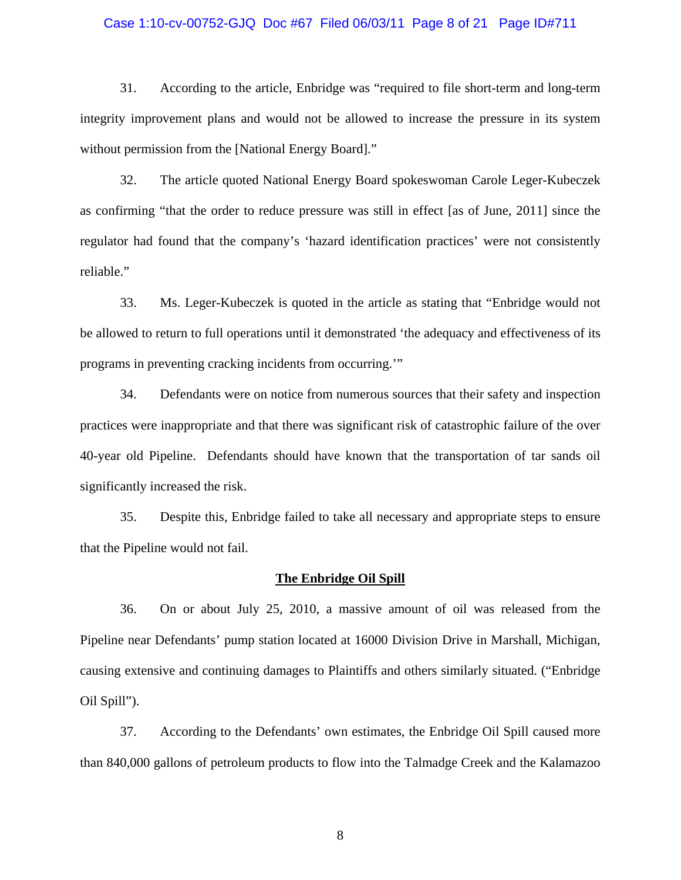#### Case 1:10-cv-00752-GJQ Doc #67 Filed 06/03/11 Page 8 of 21 Page ID#711

31. According to the article, Enbridge was "required to file short-term and long-term integrity improvement plans and would not be allowed to increase the pressure in its system without permission from the [National Energy Board]."

32. The article quoted National Energy Board spokeswoman Carole Leger-Kubeczek as confirming "that the order to reduce pressure was still in effect [as of June, 2011] since the regulator had found that the company's 'hazard identification practices' were not consistently reliable."

33. Ms. Leger-Kubeczek is quoted in the article as stating that "Enbridge would not be allowed to return to full operations until it demonstrated 'the adequacy and effectiveness of its programs in preventing cracking incidents from occurring.'"

34. Defendants were on notice from numerous sources that their safety and inspection practices were inappropriate and that there was significant risk of catastrophic failure of the over 40-year old Pipeline. Defendants should have known that the transportation of tar sands oil significantly increased the risk.

35. Despite this, Enbridge failed to take all necessary and appropriate steps to ensure that the Pipeline would not fail.

#### **The Enbridge Oil Spill**

36. On or about July 25, 2010, a massive amount of oil was released from the Pipeline near Defendants' pump station located at 16000 Division Drive in Marshall, Michigan, causing extensive and continuing damages to Plaintiffs and others similarly situated. ("Enbridge Oil Spill").

37. According to the Defendants' own estimates, the Enbridge Oil Spill caused more than 840,000 gallons of petroleum products to flow into the Talmadge Creek and the Kalamazoo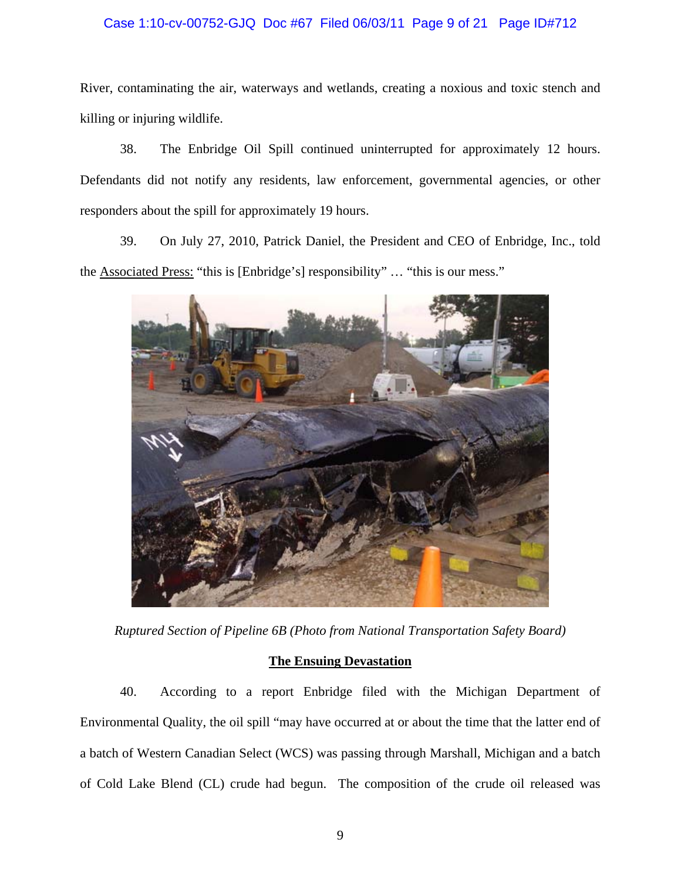## Case 1:10-cv-00752-GJQ Doc #67 Filed 06/03/11 Page 9 of 21 Page ID#712

River, contaminating the air, waterways and wetlands, creating a noxious and toxic stench and killing or injuring wildlife.

38. The Enbridge Oil Spill continued uninterrupted for approximately 12 hours. Defendants did not notify any residents, law enforcement, governmental agencies, or other responders about the spill for approximately 19 hours.

39. On July 27, 2010, Patrick Daniel, the President and CEO of Enbridge, Inc., told the Associated Press: "this is [Enbridge's] responsibility" … "this is our mess."



*Ruptured Section of Pipeline 6B (Photo from National Transportation Safety Board)* 

### **The Ensuing Devastation**

40. According to a report Enbridge filed with the Michigan Department of Environmental Quality, the oil spill "may have occurred at or about the time that the latter end of a batch of Western Canadian Select (WCS) was passing through Marshall, Michigan and a batch of Cold Lake Blend (CL) crude had begun. The composition of the crude oil released was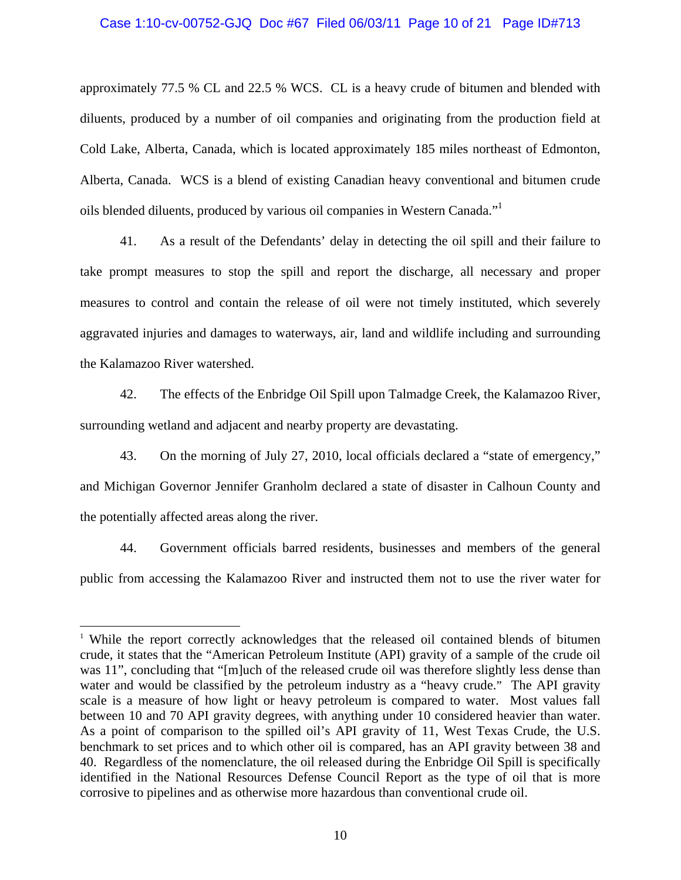### Case 1:10-cv-00752-GJQ Doc #67 Filed 06/03/11 Page 10 of 21 Page ID#713

approximately 77.5 % CL and 22.5 % WCS. CL is a heavy crude of bitumen and blended with diluents, produced by a number of oil companies and originating from the production field at Cold Lake, Alberta, Canada, which is located approximately 185 miles northeast of Edmonton, Alberta, Canada. WCS is a blend of existing Canadian heavy conventional and bitumen crude oils blended diluents, produced by various oil companies in Western Canada."<sup>1</sup>

41. As a result of the Defendants' delay in detecting the oil spill and their failure to take prompt measures to stop the spill and report the discharge, all necessary and proper measures to control and contain the release of oil were not timely instituted, which severely aggravated injuries and damages to waterways, air, land and wildlife including and surrounding the Kalamazoo River watershed.

42. The effects of the Enbridge Oil Spill upon Talmadge Creek, the Kalamazoo River, surrounding wetland and adjacent and nearby property are devastating.

43. On the morning of July 27, 2010, local officials declared a "state of emergency," and Michigan Governor Jennifer Granholm declared a state of disaster in Calhoun County and the potentially affected areas along the river.

44. Government officials barred residents, businesses and members of the general public from accessing the Kalamazoo River and instructed them not to use the river water for

 $\overline{a}$ 

<sup>1</sup> While the report correctly acknowledges that the released oil contained blends of bitumen crude, it states that the "American Petroleum Institute (API) gravity of a sample of the crude oil was 11", concluding that "[m]uch of the released crude oil was therefore slightly less dense than water and would be classified by the petroleum industry as a "heavy crude." The API gravity scale is a measure of how light or heavy petroleum is compared to water. Most values fall between 10 and 70 API gravity degrees, with anything under 10 considered heavier than water. As a point of comparison to the spilled oil's API gravity of 11, West Texas Crude, the U.S. benchmark to set prices and to which other oil is compared, has an API gravity between 38 and 40. Regardless of the nomenclature, the oil released during the Enbridge Oil Spill is specifically identified in the National Resources Defense Council Report as the type of oil that is more corrosive to pipelines and as otherwise more hazardous than conventional crude oil.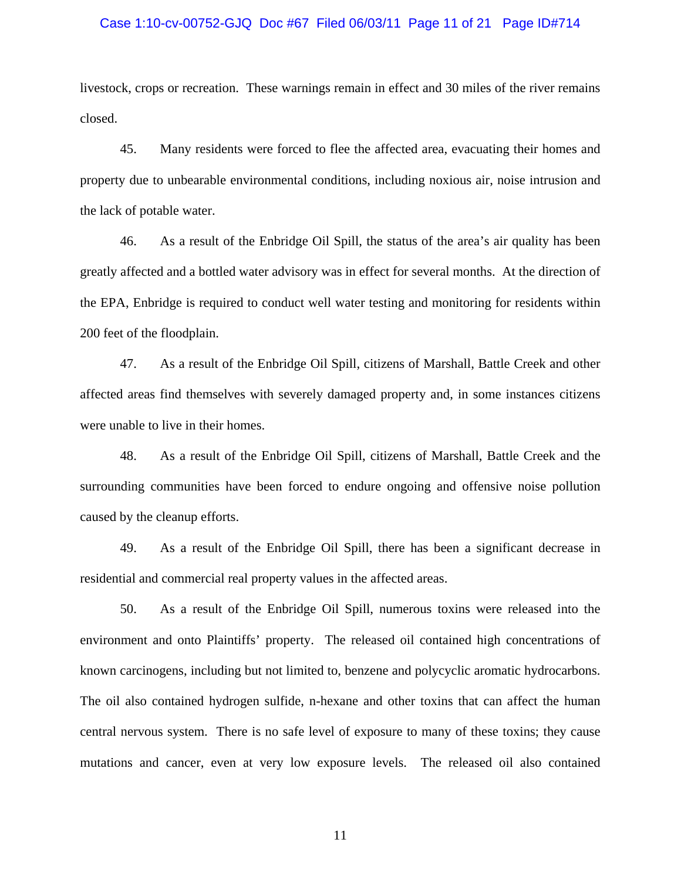#### Case 1:10-cv-00752-GJQ Doc #67 Filed 06/03/11 Page 11 of 21 Page ID#714

livestock, crops or recreation. These warnings remain in effect and 30 miles of the river remains closed.

45. Many residents were forced to flee the affected area, evacuating their homes and property due to unbearable environmental conditions, including noxious air, noise intrusion and the lack of potable water.

46. As a result of the Enbridge Oil Spill, the status of the area's air quality has been greatly affected and a bottled water advisory was in effect for several months. At the direction of the EPA, Enbridge is required to conduct well water testing and monitoring for residents within 200 feet of the floodplain.

47. As a result of the Enbridge Oil Spill, citizens of Marshall, Battle Creek and other affected areas find themselves with severely damaged property and, in some instances citizens were unable to live in their homes.

48. As a result of the Enbridge Oil Spill, citizens of Marshall, Battle Creek and the surrounding communities have been forced to endure ongoing and offensive noise pollution caused by the cleanup efforts.

49. As a result of the Enbridge Oil Spill, there has been a significant decrease in residential and commercial real property values in the affected areas.

50. As a result of the Enbridge Oil Spill, numerous toxins were released into the environment and onto Plaintiffs' property. The released oil contained high concentrations of known carcinogens, including but not limited to, benzene and polycyclic aromatic hydrocarbons. The oil also contained hydrogen sulfide, n-hexane and other toxins that can affect the human central nervous system. There is no safe level of exposure to many of these toxins; they cause mutations and cancer, even at very low exposure levels. The released oil also contained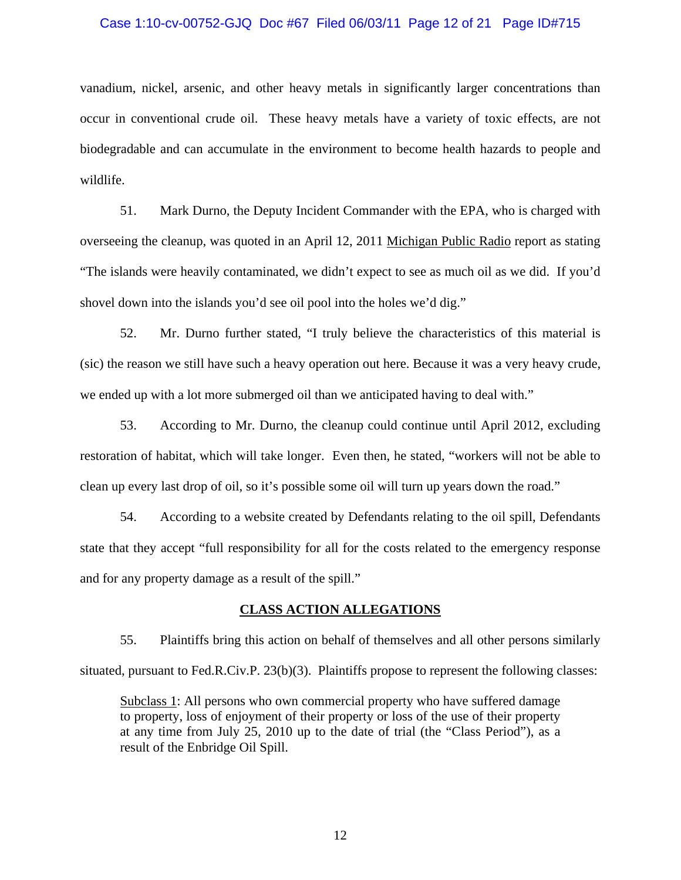#### Case 1:10-cv-00752-GJQ Doc #67 Filed 06/03/11 Page 12 of 21 Page ID#715

vanadium, nickel, arsenic, and other heavy metals in significantly larger concentrations than occur in conventional crude oil. These heavy metals have a variety of toxic effects, are not biodegradable and can accumulate in the environment to become health hazards to people and wildlife.

51. Mark Durno, the Deputy Incident Commander with the EPA, who is charged with overseeing the cleanup, was quoted in an April 12, 2011 Michigan Public Radio report as stating "The islands were heavily contaminated, we didn't expect to see as much oil as we did. If you'd shovel down into the islands you'd see oil pool into the holes we'd dig."

52. Mr. Durno further stated, "I truly believe the characteristics of this material is (sic) the reason we still have such a heavy operation out here. Because it was a very heavy crude, we ended up with a lot more submerged oil than we anticipated having to deal with."

53. According to Mr. Durno, the cleanup could continue until April 2012, excluding restoration of habitat, which will take longer. Even then, he stated, "workers will not be able to clean up every last drop of oil, so it's possible some oil will turn up years down the road."

54. According to a website created by Defendants relating to the oil spill, Defendants state that they accept "full responsibility for all for the costs related to the emergency response and for any property damage as a result of the spill."

### **CLASS ACTION ALLEGATIONS**

55. Plaintiffs bring this action on behalf of themselves and all other persons similarly situated, pursuant to Fed.R.Civ.P. 23(b)(3). Plaintiffs propose to represent the following classes:

Subclass 1: All persons who own commercial property who have suffered damage to property, loss of enjoyment of their property or loss of the use of their property at any time from July 25, 2010 up to the date of trial (the "Class Period"), as a result of the Enbridge Oil Spill.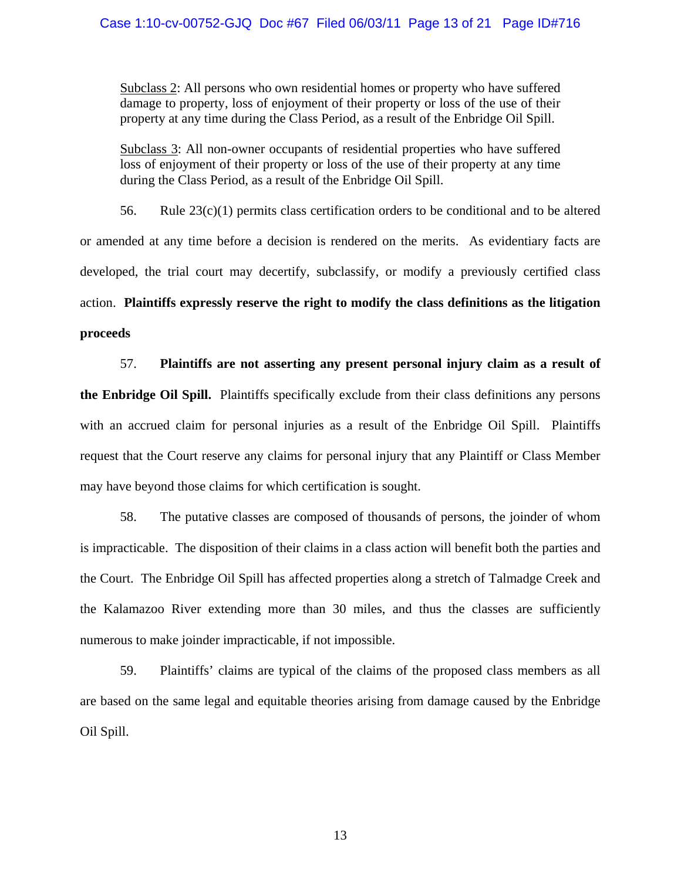Subclass 2: All persons who own residential homes or property who have suffered damage to property, loss of enjoyment of their property or loss of the use of their property at any time during the Class Period, as a result of the Enbridge Oil Spill.

Subclass 3: All non-owner occupants of residential properties who have suffered loss of enjoyment of their property or loss of the use of their property at any time during the Class Period, as a result of the Enbridge Oil Spill.

56. Rule  $23(c)(1)$  permits class certification orders to be conditional and to be altered or amended at any time before a decision is rendered on the merits. As evidentiary facts are developed, the trial court may decertify, subclassify, or modify a previously certified class action. **Plaintiffs expressly reserve the right to modify the class definitions as the litigation proceeds**

57. **Plaintiffs are not asserting any present personal injury claim as a result of the Enbridge Oil Spill.** Plaintiffs specifically exclude from their class definitions any persons with an accrued claim for personal injuries as a result of the Enbridge Oil Spill. Plaintiffs request that the Court reserve any claims for personal injury that any Plaintiff or Class Member may have beyond those claims for which certification is sought.

58. The putative classes are composed of thousands of persons, the joinder of whom is impracticable. The disposition of their claims in a class action will benefit both the parties and the Court. The Enbridge Oil Spill has affected properties along a stretch of Talmadge Creek and the Kalamazoo River extending more than 30 miles, and thus the classes are sufficiently numerous to make joinder impracticable, if not impossible.

59. Plaintiffs' claims are typical of the claims of the proposed class members as all are based on the same legal and equitable theories arising from damage caused by the Enbridge Oil Spill.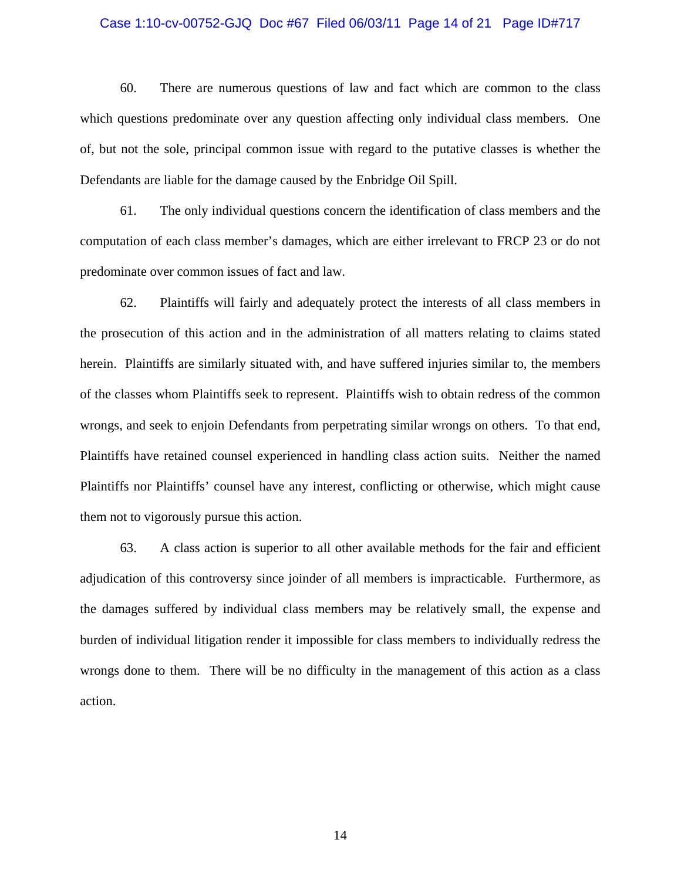#### Case 1:10-cv-00752-GJQ Doc #67 Filed 06/03/11 Page 14 of 21 Page ID#717

60. There are numerous questions of law and fact which are common to the class which questions predominate over any question affecting only individual class members. One of, but not the sole, principal common issue with regard to the putative classes is whether the Defendants are liable for the damage caused by the Enbridge Oil Spill.

61. The only individual questions concern the identification of class members and the computation of each class member's damages, which are either irrelevant to FRCP 23 or do not predominate over common issues of fact and law.

62. Plaintiffs will fairly and adequately protect the interests of all class members in the prosecution of this action and in the administration of all matters relating to claims stated herein. Plaintiffs are similarly situated with, and have suffered injuries similar to, the members of the classes whom Plaintiffs seek to represent. Plaintiffs wish to obtain redress of the common wrongs, and seek to enjoin Defendants from perpetrating similar wrongs on others. To that end, Plaintiffs have retained counsel experienced in handling class action suits. Neither the named Plaintiffs nor Plaintiffs' counsel have any interest, conflicting or otherwise, which might cause them not to vigorously pursue this action.

63. A class action is superior to all other available methods for the fair and efficient adjudication of this controversy since joinder of all members is impracticable. Furthermore, as the damages suffered by individual class members may be relatively small, the expense and burden of individual litigation render it impossible for class members to individually redress the wrongs done to them. There will be no difficulty in the management of this action as a class action.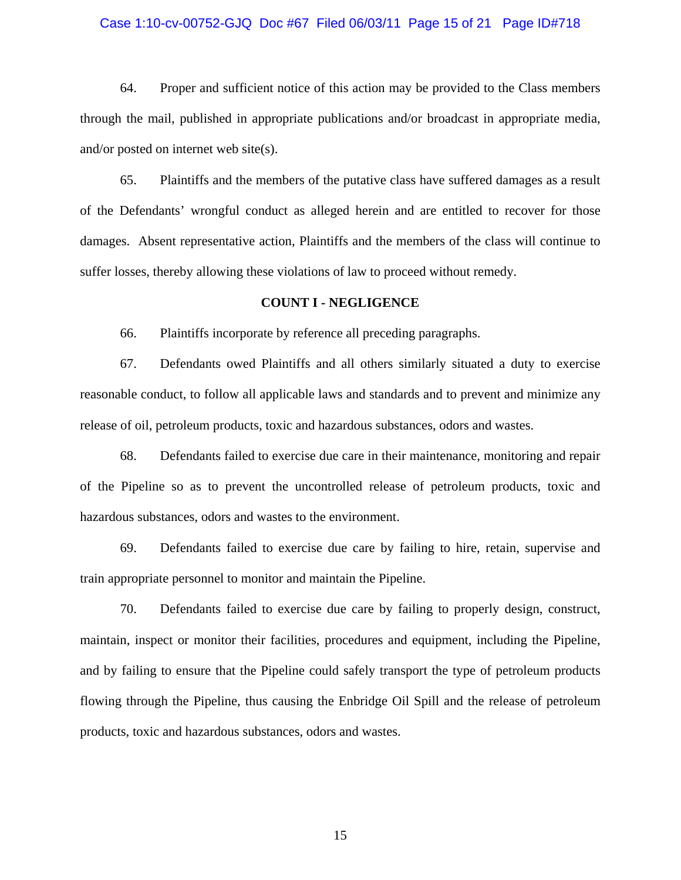#### Case 1:10-cv-00752-GJQ Doc #67 Filed 06/03/11 Page 15 of 21 Page ID#718

64. Proper and sufficient notice of this action may be provided to the Class members through the mail, published in appropriate publications and/or broadcast in appropriate media, and/or posted on internet web site(s).

65. Plaintiffs and the members of the putative class have suffered damages as a result of the Defendants' wrongful conduct as alleged herein and are entitled to recover for those damages. Absent representative action, Plaintiffs and the members of the class will continue to suffer losses, thereby allowing these violations of law to proceed without remedy.

### **COUNT I - NEGLIGENCE**

66. Plaintiffs incorporate by reference all preceding paragraphs.

67. Defendants owed Plaintiffs and all others similarly situated a duty to exercise reasonable conduct, to follow all applicable laws and standards and to prevent and minimize any release of oil, petroleum products, toxic and hazardous substances, odors and wastes.

68. Defendants failed to exercise due care in their maintenance, monitoring and repair of the Pipeline so as to prevent the uncontrolled release of petroleum products, toxic and hazardous substances, odors and wastes to the environment.

69. Defendants failed to exercise due care by failing to hire, retain, supervise and train appropriate personnel to monitor and maintain the Pipeline.

70. Defendants failed to exercise due care by failing to properly design, construct, maintain, inspect or monitor their facilities, procedures and equipment, including the Pipeline, and by failing to ensure that the Pipeline could safely transport the type of petroleum products flowing through the Pipeline, thus causing the Enbridge Oil Spill and the release of petroleum products, toxic and hazardous substances, odors and wastes.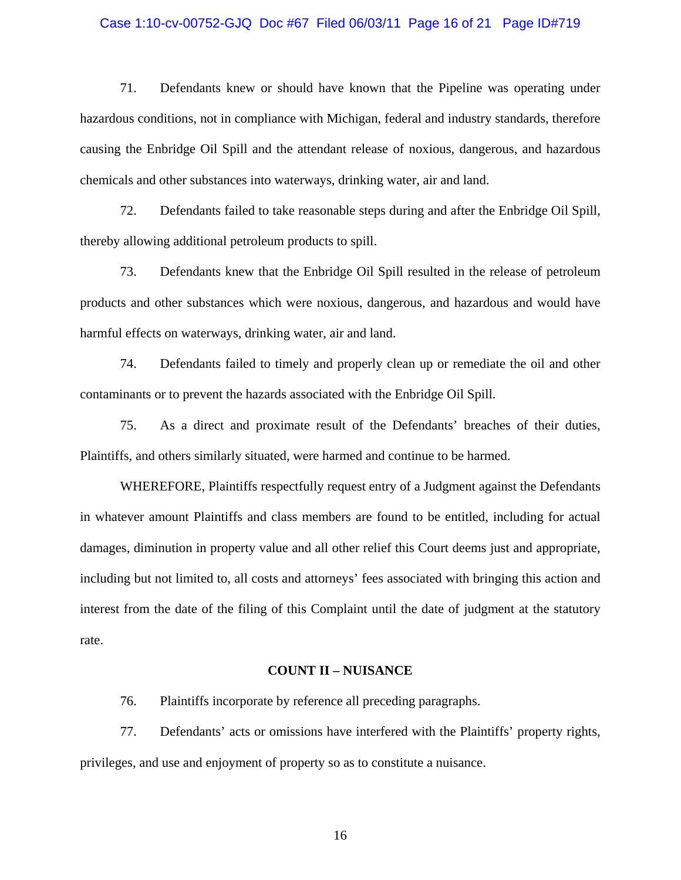#### Case 1:10-cv-00752-GJQ Doc #67 Filed 06/03/11 Page 16 of 21 Page ID#719

71. Defendants knew or should have known that the Pipeline was operating under hazardous conditions, not in compliance with Michigan, federal and industry standards, therefore causing the Enbridge Oil Spill and the attendant release of noxious, dangerous, and hazardous chemicals and other substances into waterways, drinking water, air and land.

72. Defendants failed to take reasonable steps during and after the Enbridge Oil Spill, thereby allowing additional petroleum products to spill.

73. Defendants knew that the Enbridge Oil Spill resulted in the release of petroleum products and other substances which were noxious, dangerous, and hazardous and would have harmful effects on waterways, drinking water, air and land.

74. Defendants failed to timely and properly clean up or remediate the oil and other contaminants or to prevent the hazards associated with the Enbridge Oil Spill.

75. As a direct and proximate result of the Defendants' breaches of their duties, Plaintiffs, and others similarly situated, were harmed and continue to be harmed.

WHEREFORE, Plaintiffs respectfully request entry of a Judgment against the Defendants in whatever amount Plaintiffs and class members are found to be entitled, including for actual damages, diminution in property value and all other relief this Court deems just and appropriate, including but not limited to, all costs and attorneys' fees associated with bringing this action and interest from the date of the filing of this Complaint until the date of judgment at the statutory rate.

#### **COUNT II – NUISANCE**

76. Plaintiffs incorporate by reference all preceding paragraphs.

77. Defendants' acts or omissions have interfered with the Plaintiffs' property rights, privileges, and use and enjoyment of property so as to constitute a nuisance.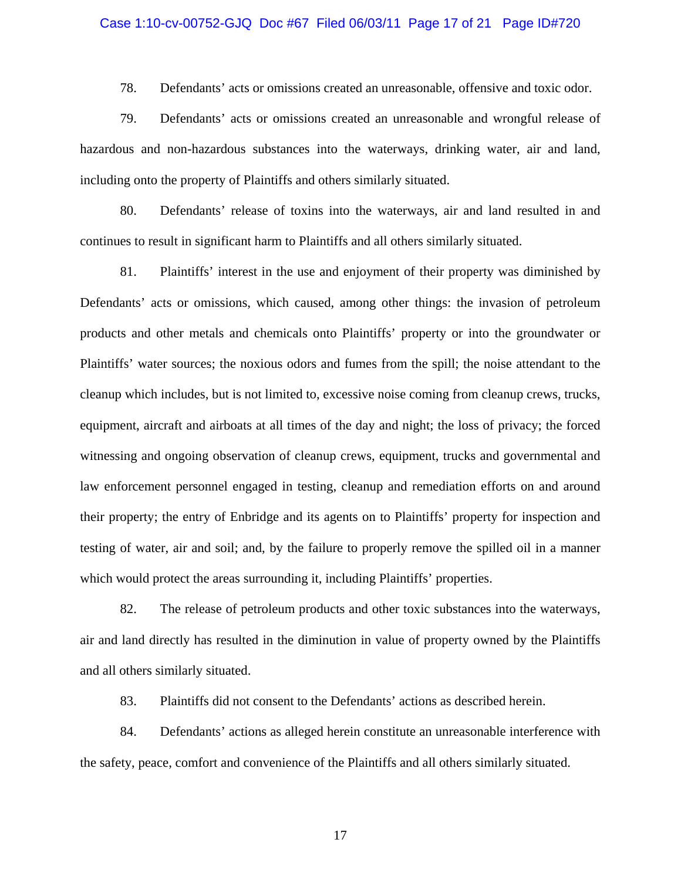#### Case 1:10-cv-00752-GJQ Doc #67 Filed 06/03/11 Page 17 of 21 Page ID#720

78. Defendants' acts or omissions created an unreasonable, offensive and toxic odor.

79. Defendants' acts or omissions created an unreasonable and wrongful release of hazardous and non-hazardous substances into the waterways, drinking water, air and land, including onto the property of Plaintiffs and others similarly situated.

80. Defendants' release of toxins into the waterways, air and land resulted in and continues to result in significant harm to Plaintiffs and all others similarly situated.

81. Plaintiffs' interest in the use and enjoyment of their property was diminished by Defendants' acts or omissions, which caused, among other things: the invasion of petroleum products and other metals and chemicals onto Plaintiffs' property or into the groundwater or Plaintiffs' water sources; the noxious odors and fumes from the spill; the noise attendant to the cleanup which includes, but is not limited to, excessive noise coming from cleanup crews, trucks, equipment, aircraft and airboats at all times of the day and night; the loss of privacy; the forced witnessing and ongoing observation of cleanup crews, equipment, trucks and governmental and law enforcement personnel engaged in testing, cleanup and remediation efforts on and around their property; the entry of Enbridge and its agents on to Plaintiffs' property for inspection and testing of water, air and soil; and, by the failure to properly remove the spilled oil in a manner which would protect the areas surrounding it, including Plaintiffs' properties.

82. The release of petroleum products and other toxic substances into the waterways, air and land directly has resulted in the diminution in value of property owned by the Plaintiffs and all others similarly situated.

83. Plaintiffs did not consent to the Defendants' actions as described herein.

84. Defendants' actions as alleged herein constitute an unreasonable interference with the safety, peace, comfort and convenience of the Plaintiffs and all others similarly situated.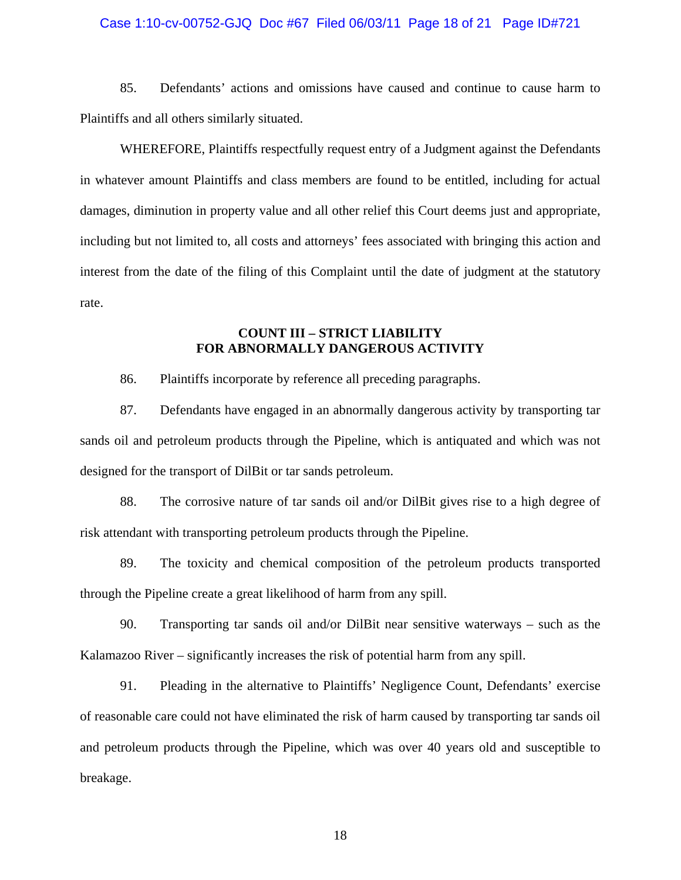#### Case 1:10-cv-00752-GJQ Doc #67 Filed 06/03/11 Page 18 of 21 Page ID#721

85. Defendants' actions and omissions have caused and continue to cause harm to Plaintiffs and all others similarly situated.

WHEREFORE, Plaintiffs respectfully request entry of a Judgment against the Defendants in whatever amount Plaintiffs and class members are found to be entitled, including for actual damages, diminution in property value and all other relief this Court deems just and appropriate, including but not limited to, all costs and attorneys' fees associated with bringing this action and interest from the date of the filing of this Complaint until the date of judgment at the statutory rate.

## **COUNT III – STRICT LIABILITY FOR ABNORMALLY DANGEROUS ACTIVITY**

86. Plaintiffs incorporate by reference all preceding paragraphs.

87. Defendants have engaged in an abnormally dangerous activity by transporting tar sands oil and petroleum products through the Pipeline, which is antiquated and which was not designed for the transport of DilBit or tar sands petroleum.

88. The corrosive nature of tar sands oil and/or DilBit gives rise to a high degree of risk attendant with transporting petroleum products through the Pipeline.

89. The toxicity and chemical composition of the petroleum products transported through the Pipeline create a great likelihood of harm from any spill.

90. Transporting tar sands oil and/or DilBit near sensitive waterways – such as the Kalamazoo River – significantly increases the risk of potential harm from any spill.

91. Pleading in the alternative to Plaintiffs' Negligence Count, Defendants' exercise of reasonable care could not have eliminated the risk of harm caused by transporting tar sands oil and petroleum products through the Pipeline, which was over 40 years old and susceptible to breakage.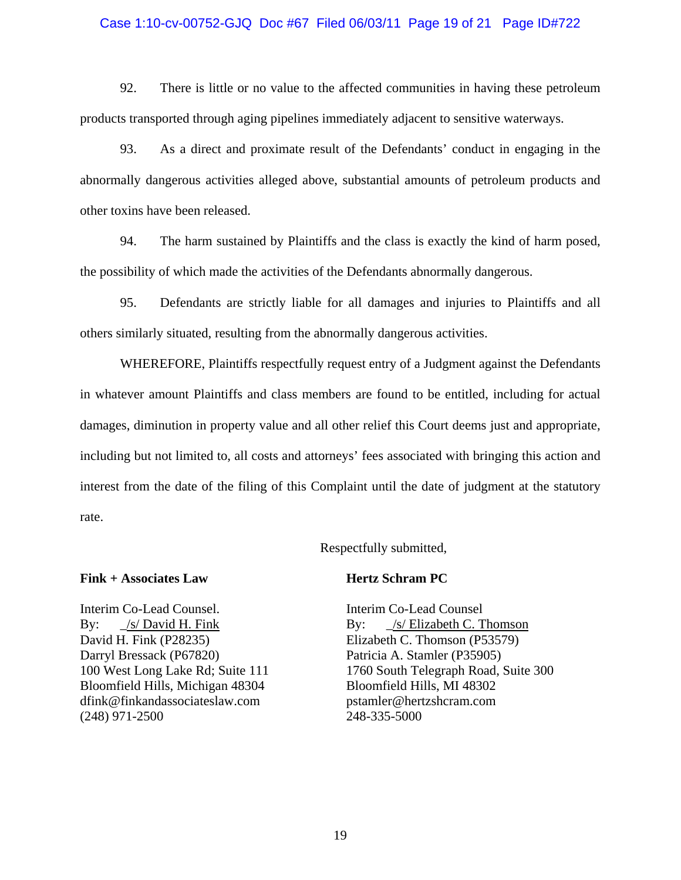### Case 1:10-cv-00752-GJQ Doc #67 Filed 06/03/11 Page 19 of 21 Page ID#722

92. There is little or no value to the affected communities in having these petroleum products transported through aging pipelines immediately adjacent to sensitive waterways.

93. As a direct and proximate result of the Defendants' conduct in engaging in the abnormally dangerous activities alleged above, substantial amounts of petroleum products and other toxins have been released.

94. The harm sustained by Plaintiffs and the class is exactly the kind of harm posed, the possibility of which made the activities of the Defendants abnormally dangerous.

95. Defendants are strictly liable for all damages and injuries to Plaintiffs and all others similarly situated, resulting from the abnormally dangerous activities.

WHEREFORE, Plaintiffs respectfully request entry of a Judgment against the Defendants in whatever amount Plaintiffs and class members are found to be entitled, including for actual damages, diminution in property value and all other relief this Court deems just and appropriate, including but not limited to, all costs and attorneys' fees associated with bringing this action and interest from the date of the filing of this Complaint until the date of judgment at the statutory rate.

#### Respectfully submitted,

#### **Fink + Associates Law**

Interim Co-Lead Counsel. By: /s/ David H. Fink David H. Fink (P28235) Darryl Bressack (P67820) 100 West Long Lake Rd; Suite 111 Bloomfield Hills, Michigan 48304 dfink@finkandassociateslaw.com (248) 971-2500

#### **Hertz Schram PC**

Interim Co-Lead Counsel By: \_/s/ Elizabeth C. Thomson Elizabeth C. Thomson (P53579) Patricia A. Stamler (P35905) 1760 South Telegraph Road, Suite 300 Bloomfield Hills, MI 48302 pstamler@hertzshcram.com 248-335-5000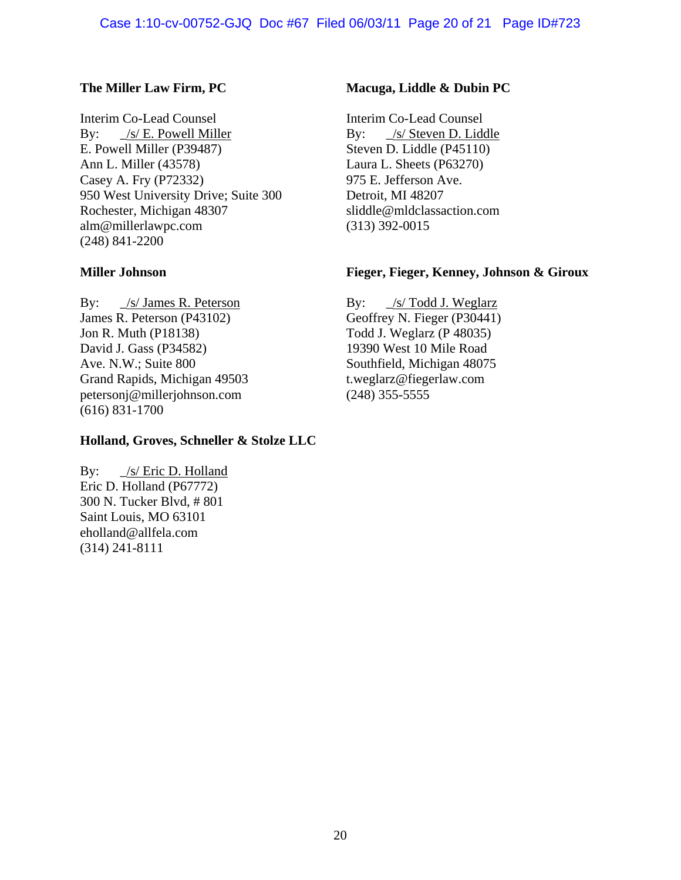## Case 1:10-cv-00752-GJQ Doc #67 Filed 06/03/11 Page 20 of 21 Page ID#723

## **The Miller Law Firm, PC**

Interim Co-Lead Counsel By: \_/s/ E. Powell Miller E. Powell Miller (P39487) Ann L. Miller (43578) Casey A. Fry (P72332) 950 West University Drive; Suite 300 Rochester, Michigan 48307 alm@millerlawpc.com (248) 841-2200

### **Miller Johnson**

By: \_/s/ James R. Peterson James R. Peterson (P43102) Jon R. Muth (P18138) David J. Gass (P34582) Ave. N.W.; Suite 800 Grand Rapids, Michigan 49503 petersonj@millerjohnson.com (616) 831-1700

## **Holland, Groves, Schneller & Stolze LLC**

By: \_/s/ Eric D. Holland Eric D. Holland (P67772) 300 N. Tucker Blvd, # 801 Saint Louis, MO 63101 eholland@allfela.com (314) 241-8111

### **Macuga, Liddle & Dubin PC**

Interim Co-Lead Counsel By: /s/ Steven D. Liddle Steven D. Liddle (P45110) Laura L. Sheets (P63270) 975 E. Jefferson Ave. Detroit, MI 48207 sliddle@mldclassaction.com (313) 392-0015

### **Fieger, Fieger, Kenney, Johnson & Giroux**

By:  $\frac{\sqrt{s}}{\text{Total J. Weg}}$ Geoffrey N. Fieger (P30441) Todd J. Weglarz (P 48035) 19390 West 10 Mile Road Southfield, Michigan 48075 t.weglarz@fiegerlaw.com (248) 355-5555